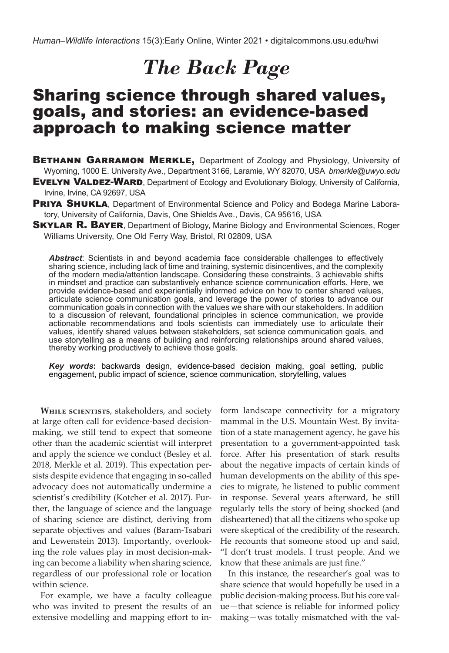# *The Back Page*

# Sharing science through shared values, goals, and stories: an evidence-based approach to making science matter

**BETHANN GARRAMON MERKLE, Department of Zoology and Physiology, University of** Wyoming, 1000 E. University Ave., Department 3166, Laramie, WY 82070, USA *bmerkle@uwyo.edu*

**EVELYN VALDEZ-WARD**, Department of Ecology and Evolutionary Biology, University of California, Irvine, Irvine, CA 92697, USA

**PRIYA SHUKLA**, Department of Environmental Science and Policy and Bodega Marine Laboratory, University of California, Davis, One Shields Ave., Davis, CA 95616, USA

**SKYLAR R. BAYER, Department of Biology, Marine Biology and Environmental Sciences, Roger** Williams University, One Old Ferry Way, Bristol, RI 02809, USA

*Abstract*: Scientists in and beyond academia face considerable challenges to effectively sharing science, including lack of time and training, systemic disincentives, and the complexity of the modern media/attention landscape. Considering these constraints, 3 achievable shifts in mindset and practice can substantively enhance science communication efforts. Here, we provide evidence-based and experientially informed advice on how to center shared values, articulate science communication goals, and leverage the power of stories to advance our communication goals in connection with the values we share with our stakeholders. In addition to a discussion of relevant, foundational principles in science communication, we provide actionable recommendations and tools scientists can immediately use to articulate their values, identify shared values between stakeholders, set science communication goals, and use storytelling as a means of building and reinforcing relationships around shared values, thereby working productively to achieve those goals.

*Key words***:** backwards design, evidence-based decision making, goal setting, public engagement, public impact of science, science communication, storytelling, values

**While scientists**, stakeholders, and society at large often call for evidence-based decisionmaking, we still tend to expect that someone other than the academic scientist will interpret and apply the science we conduct (Besley et al. 2018, Merkle et al. 2019). This expectation persists despite evidence that engaging in so-called advocacy does not automatically undermine a scientist's credibility (Kotcher et al. 2017). Further, the language of science and the language of sharing science are distinct, deriving from separate objectives and values (Baram-Tsabari and Lewenstein 2013). Importantly, overlooking the role values play in most decision-making can become a liability when sharing science, regardless of our professional role or location within science.

For example, we have a faculty colleague who was invited to present the results of an extensive modelling and mapping effort to inform landscape connectivity for a migratory mammal in the U.S. Mountain West. By invitation of a state management agency, he gave his presentation to a government-appointed task force. After his presentation of stark results about the negative impacts of certain kinds of human developments on the ability of this species to migrate, he listened to public comment in response. Several years afterward, he still regularly tells the story of being shocked (and disheartened) that all the citizens who spoke up were skeptical of the credibility of the research. He recounts that someone stood up and said, "I don't trust models. I trust people. And we know that these animals are just fine."

In this instance, the researcher's goal was to share science that would hopefully be used in a public decision-making process. But his core value—that science is reliable for informed policy making—was totally mismatched with the val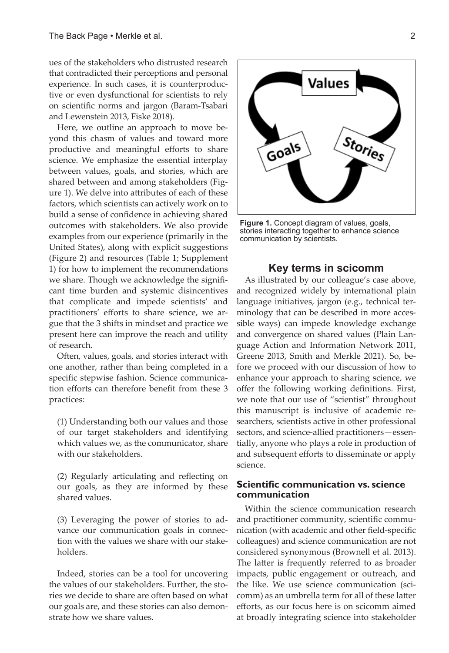ues of the stakeholders who distrusted research that contradicted their perceptions and personal experience. In such cases, it is counterproductive or even dysfunctional for scientists to rely on scientific norms and jargon (Baram-Tsabari and Lewenstein 2013, Fiske 2018).

Here, we outline an approach to move beyond this chasm of values and toward more productive and meaningful efforts to share science. We emphasize the essential interplay between values, goals, and stories, which are shared between and among stakeholders (Figure 1). We delve into attributes of each of these factors, which scientists can actively work on to build a sense of confidence in achieving shared outcomes with stakeholders. We also provide examples from our experience (primarily in the United States), along with explicit suggestions (Figure 2) and resources (Table 1; Supplement 1) for how to implement the recommendations we share. Though we acknowledge the significant time burden and systemic disincentives that complicate and impede scientists' and practitioners' efforts to share science, we argue that the 3 shifts in mindset and practice we present here can improve the reach and utility of research.

Often, values, goals, and stories interact with one another, rather than being completed in a specific stepwise fashion. Science communication efforts can therefore benefit from these 3 practices:

(1) Understanding both our values and those of our target stakeholders and identifying which values we, as the communicator, share with our stakeholders.

(2) Regularly articulating and reflecting on our goals, as they are informed by these shared values.

(3) Leveraging the power of stories to advance our communication goals in connection with the values we share with our stakeholders.

Indeed, stories can be a tool for uncovering the values of our stakeholders. Further, the stories we decide to share are often based on what our goals are, and these stories can also demonstrate how we share values.



**Figure 1.** Concept diagram of values, goals, stories interacting together to enhance science communication by scientists.

# **Key terms in scicomm**

As illustrated by our colleague's case above, and recognized widely by international plain language initiatives, jargon (e.g., technical terminology that can be described in more accessible ways) can impede knowledge exchange and convergence on shared values (Plain Language Action and Information Network 2011, Greene 2013, Smith and Merkle 2021). So, before we proceed with our discussion of how to enhance your approach to sharing science, we offer the following working definitions. First, we note that our use of "scientist" throughout this manuscript is inclusive of academic researchers, scientists active in other professional sectors, and science-allied practitioners—essentially, anyone who plays a role in production of and subsequent efforts to disseminate or apply science.

# **Scientific communication vs. science communication**

Within the science communication research and practitioner community, scientific communication (with academic and other field-specific colleagues) and science communication are not considered synonymous (Brownell et al. 2013). The latter is frequently referred to as broader impacts, public engagement or outreach, and the like. We use science communication (scicomm) as an umbrella term for all of these latter efforts, as our focus here is on scicomm aimed at broadly integrating science into stakeholder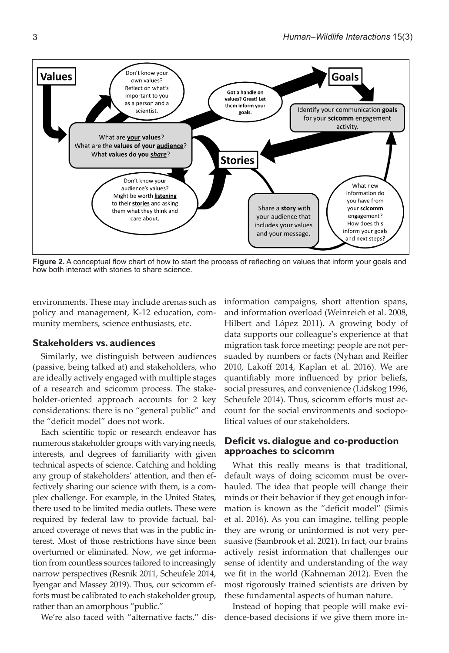

**Figure 2.** A conceptual flow chart of how to start the process of reflecting on values that inform your goals and how both interact with stories to share science.

environments. These may include arenas such as policy and management, K-12 education, community members, science enthusiasts, etc.

#### **Stakeholders vs. audiences**

Similarly, we distinguish between audiences (passive, being talked at) and stakeholders, who are ideally actively engaged with multiple stages of a research and scicomm process. The stakeholder-oriented approach accounts for 2 key considerations: there is no "general public" and the "deficit model" does not work.

Each scientific topic or research endeavor has numerous stakeholder groups with varying needs, interests, and degrees of familiarity with given technical aspects of science. Catching and holding any group of stakeholders' attention, and then effectively sharing our science with them, is a complex challenge. For example, in the United States, there used to be limited media outlets. These were required by federal law to provide factual, balanced coverage of news that was in the public interest. Most of those restrictions have since been overturned or eliminated. Now, we get information from countless sources tailored to increasingly narrow perspectives (Resnik 2011, Scheufele 2014, Iyengar and Massey 2019). Thus, our scicomm efforts must be calibrated to each stakeholder group, rather than an amorphous "public."

We're also faced with "alternative facts," dis-

information campaigns, short attention spans, and information overload (Weinreich et al. 2008, Hilbert and López 2011). A growing body of data supports our colleague's experience at that migration task force meeting: people are not persuaded by numbers or facts (Nyhan and Reifler 2010, Lakoff 2014, Kaplan et al. 2016). We are quantifiably more influenced by prior beliefs, social pressures, and convenience (Lidskog 1996, Scheufele 2014). Thus, scicomm efforts must account for the social environments and sociopolitical values of our stakeholders.

# **Deficit vs. dialogue and co-production approaches to scicomm**

What this really means is that traditional, default ways of doing scicomm must be overhauled. The idea that people will change their minds or their behavior if they get enough information is known as the "deficit model" (Simis et al. 2016). As you can imagine, telling people they are wrong or uninformed is not very persuasive (Sambrook et al. 2021). In fact, our brains actively resist information that challenges our sense of identity and understanding of the way we fit in the world (Kahneman 2012). Even the most rigorously trained scientists are driven by these fundamental aspects of human nature.

Instead of hoping that people will make evidence-based decisions if we give them more in-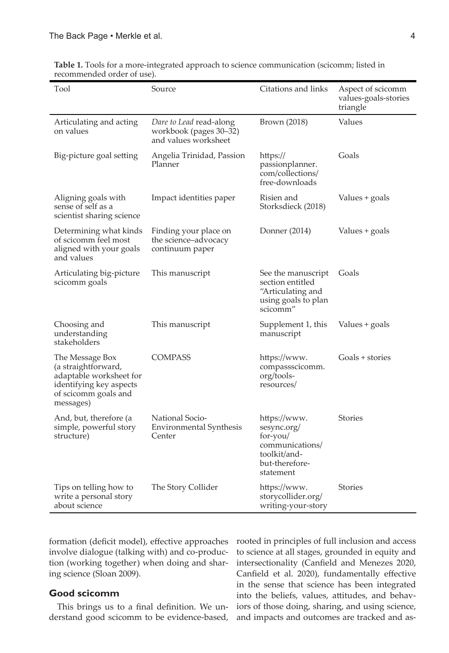| Tool                                                                                                                              | Source                                                                    | Citations and links                                                                                       | Aspect of scicomm<br>values-goals-stories<br>triangle |
|-----------------------------------------------------------------------------------------------------------------------------------|---------------------------------------------------------------------------|-----------------------------------------------------------------------------------------------------------|-------------------------------------------------------|
| Articulating and acting<br>on values                                                                                              | Dare to Lead read-along<br>workbook (pages 30-32)<br>and values worksheet | Brown (2018)                                                                                              | Values                                                |
| Big-picture goal setting                                                                                                          | Angelia Trinidad, Passion<br>Planner                                      | https://<br>passionplanner.<br>com/collections/<br>free-downloads                                         | Goals                                                 |
| Aligning goals with<br>sense of self as a<br>scientist sharing science                                                            | Impact identities paper                                                   | Risien and<br>Storksdieck (2018)                                                                          | Values + goals                                        |
| Determining what kinds<br>of scicomm feel most<br>aligned with your goals<br>and values                                           | Finding your place on<br>the science-advocacy<br>continuum paper          | Donner (2014)                                                                                             | Values + goals                                        |
| Articulating big-picture<br>scicomm goals                                                                                         | This manuscript                                                           | See the manuscript<br>section entitled<br>"Articulating and<br>using goals to plan<br>scicomm"            | Goals                                                 |
| Choosing and<br>understanding<br>stakeholders                                                                                     | This manuscript                                                           | Supplement 1, this<br>manuscript                                                                          | Values + goals                                        |
| The Message Box<br>(a straightforward,<br>adaptable worksheet for<br>identifying key aspects<br>of scicomm goals and<br>messages) | <b>COMPASS</b>                                                            | https://www.<br>compassscicomm.<br>org/tools-<br>resources/                                               | Goals + stories                                       |
| And, but, therefore (a<br>simple, powerful story<br>structure)                                                                    | National Socio-<br>Environmental Synthesis<br>Center                      | https://www.<br>sesync.org/<br>for-you/<br>communications/<br>toolkit/and-<br>but-therefore-<br>statement | <b>Stories</b>                                        |
| Tips on telling how to<br>write a personal story<br>about science                                                                 | The Story Collider                                                        | https://www.<br>storycollider.org/<br>writing-your-story                                                  | <b>Stories</b>                                        |

**Table 1.** Tools for a more-integrated approach to science communication (scicomm; listed in recommended order of use).

formation (deficit model), effective approaches involve dialogue (talking with) and co-production (working together) when doing and sharing science (Sloan 2009).

# **Good scicomm**

This brings us to a final definition. We understand good scicomm to be evidence-based,

rooted in principles of full inclusion and access to science at all stages, grounded in equity and intersectionality (Canfield and Menezes 2020, Canfield et al. 2020), fundamentally effective in the sense that science has been integrated into the beliefs, values, attitudes, and behaviors of those doing, sharing, and using science, and impacts and outcomes are tracked and as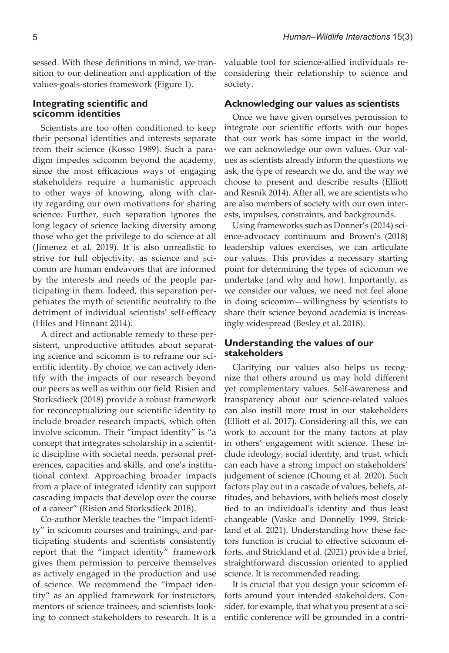sessed. With these definitions in mind, we transition to our delineation and application of the values-goals-stories framework (Figure 1).

#### **Integrating scientific and scicomm identities**

Scientists are too often conditioned to keep their personal identities and interests separate from their science (Kosso 1989). Such a paradigm impedes scicomm beyond the academy, since the most efficacious ways of engaging stakeholders require a humanistic approach to other ways of knowing, along with clarity regarding our own motivations for sharing science. Further, such separation ignores the long legacy of science lacking diversity among those who get the privilege to do science at all (Jimenez et al. 2019). It is also unrealistic to strive for full objectivity, as science and scicomm are human endeavors that are informed by the interests and needs of the people participating in them. Indeed, this separation perpetuates the myth of scientific neutrality to the detriment of individual scientists' self-efficacy (Hiles and Hinnant 2014).

A direct and actionable remedy to these persistent, unproductive attitudes about separating science and scicomm is to reframe our scientific identity. By choice, we can actively identify with the impacts of our research beyond our peers as well as within our field. Risien and Storksdieck (2018) provide a robust framework for reconceptualizing our scientific identity to include broader research impacts, which often involve scicomm. Their "impact identity" is "a concept that integrates scholarship in a scientific discipline with societal needs, personal preferences, capacities and skills, and one's institutional context. Approaching broader impacts from a place of integrated identity can support cascading impacts that develop over the course of a career" (Risien and Storksdieck 2018).

Co-author Merkle teaches the "impact identity" in scicomm courses and trainings, and participating students and scientists consistently report that the "impact identity" framework gives them permission to perceive themselves as actively engaged in the production and use of science. We recommend the "impact identity" as an applied framework for instructors, mentors of science trainees, and scientists looking to connect stakeholders to research. It is a valuable tool for science-allied individuals reconsidering their relationship to science and society.

#### **Acknowledging our values as scientists**

Once we have given ourselves permission to integrate our scientific efforts with our hopes that our work has some impact in the world, we can acknowledge our own values. Our values as scientists already inform the questions we ask, the type of research we do, and the way we choose to present and describe results (Elliott and Resnik 2014). After all, we are scientists who are also members of society with our own interests, impulses, constraints, and backgrounds.

Using frameworks such as Donner's (2014) science-advocacy continuum and Brown's (2018) leadership values exercises, we can articulate our values. This provides a necessary starting point for determining the types of scicomm we undertake (and why and how). Importantly, as we consider our values, we need not feel alone in doing scicomm—willingness by scientists to share their science beyond academia is increasingly widespread (Besley et al. 2018).

# **Understanding the values of our stakeholders**

Clarifying our values also helps us recognize that others around us may hold different yet complementary values. Self-awareness and transparency about our science-related values can also instill more trust in our stakeholders (Elliott et al. 2017). Considering all this, we can work to account for the many factors at play in others' engagement with science. These include ideology, social identity, and trust, which can each have a strong impact on stakeholders' judgement of science (Choung et al. 2020). Such factors play out in a cascade of values, beliefs, attitudes, and behaviors, with beliefs most closely tied to an individual's identity and thus least changeable (Vaske and Donnelly 1999, Strickland et al. 2021). Understanding how these factors function is crucial to effective scicomm efforts, and Strickland et al. (2021) provide a brief, straightforward discussion oriented to applied science. It is recommended reading.

It is crucial that you design your scicomm efforts around your intended stakeholders. Consider, for example, that what you present at a scientific conference will be grounded in a contri-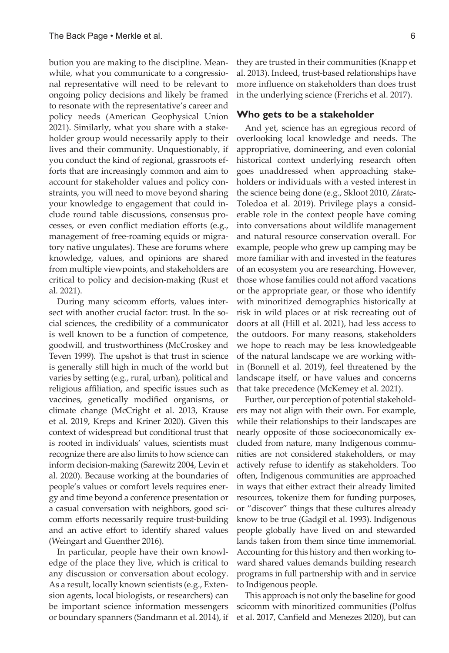bution you are making to the discipline. Meanwhile, what you communicate to a congressional representative will need to be relevant to ongoing policy decisions and likely be framed to resonate with the representative's career and policy needs (American Geophysical Union 2021). Similarly, what you share with a stakeholder group would necessarily apply to their lives and their community. Unquestionably, if you conduct the kind of regional, grassroots efforts that are increasingly common and aim to account for stakeholder values and policy constraints, you will need to move beyond sharing your knowledge to engagement that could include round table discussions, consensus processes, or even conflict mediation efforts (e.g., management of free-roaming equids or migratory native ungulates). These are forums where knowledge, values, and opinions are shared from multiple viewpoints, and stakeholders are critical to policy and decision-making (Rust et al. 2021).

During many scicomm efforts, values intersect with another crucial factor: trust. In the social sciences, the credibility of a communicator is well known to be a function of competence, goodwill, and trustworthiness (McCroskey and Teven 1999). The upshot is that trust in science is generally still high in much of the world but varies by setting (e.g., rural, urban), political and religious affiliation, and specific issues such as vaccines, genetically modified organisms, or climate change (McCright et al. 2013, Krause et al. 2019, Kreps and Kriner 2020). Given this context of widespread but conditional trust that is rooted in individuals' values, scientists must recognize there are also limits to how science can inform decision-making (Sarewitz 2004, Levin et al. 2020). Because working at the boundaries of people's values or comfort levels requires energy and time beyond a conference presentation or a casual conversation with neighbors, good scicomm efforts necessarily require trust-building and an active effort to identify shared values (Weingart and Guenther 2016).

In particular, people have their own knowledge of the place they live, which is critical to any discussion or conversation about ecology. As a result, locally known scientists (e.g., Extension agents, local biologists, or researchers) can be important science information messengers or boundary spanners (Sandmann et al. 2014), if

they are trusted in their communities (Knapp et al. 2013). Indeed, trust-based relationships have more influence on stakeholders than does trust in the underlying science (Frerichs et al. 2017).

#### **Who gets to be a stakeholder**

And yet, science has an egregious record of overlooking local knowledge and needs. The appropriative, domineering, and even colonial historical context underlying research often goes unaddressed when approaching stakeholders or individuals with a vested interest in the science being done (e.g., Skloot 2010, Zárate-Toledoa et al. 2019). Privilege plays a considerable role in the context people have coming into conversations about wildlife management and natural resource conservation overall. For example, people who grew up camping may be more familiar with and invested in the features of an ecosystem you are researching. However, those whose families could not afford vacations or the appropriate gear, or those who identify with minoritized demographics historically at risk in wild places or at risk recreating out of doors at all (Hill et al. 2021), had less access to the outdoors. For many reasons, stakeholders we hope to reach may be less knowledgeable of the natural landscape we are working within (Bonnell et al. 2019), feel threatened by the landscape itself, or have values and concerns that take precedence (McKemey et al. 2021).

Further, our perception of potential stakeholders may not align with their own. For example, while their relationships to their landscapes are nearly opposite of those socioeconomically excluded from nature, many Indigenous communities are not considered stakeholders, or may actively refuse to identify as stakeholders. Too often, Indigenous communities are approached in ways that either extract their already limited resources, tokenize them for funding purposes, or "discover" things that these cultures already know to be true (Gadgil et al. 1993). Indigenous people globally have lived on and stewarded lands taken from them since time immemorial. Accounting for this history and then working toward shared values demands building research programs in full partnership with and in service to Indigenous people.

This approach is not only the baseline for good scicomm with minoritized communities (Polfus et al. 2017, Canfield and Menezes 2020), but can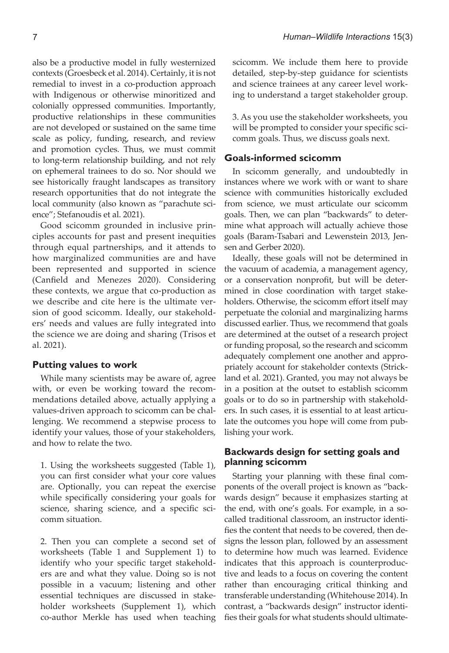also be a productive model in fully westernized contexts (Groesbeck et al. 2014). Certainly, it is not remedial to invest in a co-production approach with Indigenous or otherwise minoritized and colonially oppressed communities. Importantly, productive relationships in these communities are not developed or sustained on the same time scale as policy, funding, research, and review and promotion cycles. Thus, we must commit to long-term relationship building, and not rely on ephemeral trainees to do so. Nor should we see historically fraught landscapes as transitory research opportunities that do not integrate the local community (also known as "parachute science"; Stefanoudis et al. 2021).

Good scicomm grounded in inclusive principles accounts for past and present inequities through equal partnerships, and it attends to how marginalized communities are and have been represented and supported in science (Canfield and Menezes 2020). Considering these contexts, we argue that co-production as we describe and cite here is the ultimate version of good scicomm. Ideally, our stakeholders' needs and values are fully integrated into the science we are doing and sharing (Trisos et al. 2021).

# **Putting values to work**

While many scientists may be aware of, agree with, or even be working toward the recommendations detailed above, actually applying a values-driven approach to scicomm can be challenging. We recommend a stepwise process to identify your values, those of your stakeholders, and how to relate the two.

1. Using the worksheets suggested (Table 1), you can first consider what your core values are. Optionally, you can repeat the exercise while specifically considering your goals for science, sharing science, and a specific scicomm situation.

2. Then you can complete a second set of worksheets (Table 1 and Supplement 1) to identify who your specific target stakeholders are and what they value. Doing so is not possible in a vacuum; listening and other essential techniques are discussed in stakeholder worksheets (Supplement 1), which co-author Merkle has used when teaching scicomm. We include them here to provide detailed, step-by-step guidance for scientists and science trainees at any career level working to understand a target stakeholder group.

3. As you use the stakeholder worksheets, you will be prompted to consider your specific scicomm goals. Thus, we discuss goals next.

# **Goals-informed scicomm**

In scicomm generally, and undoubtedly in instances where we work with or want to share science with communities historically excluded from science, we must articulate our scicomm goals. Then, we can plan "backwards" to determine what approach will actually achieve those goals (Baram-Tsabari and Lewenstein 2013, Jensen and Gerber 2020).

Ideally, these goals will not be determined in the vacuum of academia, a management agency, or a conservation nonprofit, but will be determined in close coordination with target stakeholders. Otherwise, the scicomm effort itself may perpetuate the colonial and marginalizing harms discussed earlier. Thus, we recommend that goals are determined at the outset of a research project or funding proposal, so the research and scicomm adequately complement one another and appropriately account for stakeholder contexts (Strickland et al. 2021). Granted, you may not always be in a position at the outset to establish scicomm goals or to do so in partnership with stakeholders. In such cases, it is essential to at least articulate the outcomes you hope will come from publishing your work.

# **Backwards design for setting goals and planning scicomm**

Starting your planning with these final components of the overall project is known as "backwards design" because it emphasizes starting at the end, with one's goals. For example, in a socalled traditional classroom, an instructor identifies the content that needs to be covered, then designs the lesson plan, followed by an assessment to determine how much was learned. Evidence indicates that this approach is counterproductive and leads to a focus on covering the content rather than encouraging critical thinking and transferable understanding (Whitehouse 2014). In contrast, a "backwards design" instructor identifies their goals for what students should ultimate-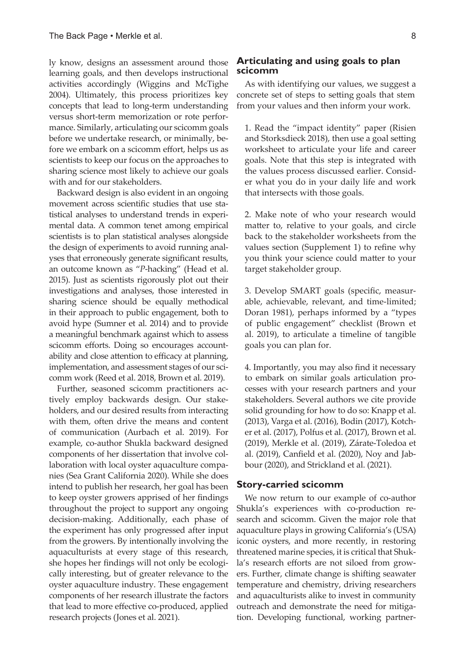ly know, designs an assessment around those learning goals, and then develops instructional activities accordingly (Wiggins and McTighe 2004). Ultimately, this process prioritizes key concepts that lead to long-term understanding versus short-term memorization or rote performance. Similarly, articulating our scicomm goals before we undertake research, or minimally, before we embark on a scicomm effort, helps us as scientists to keep our focus on the approaches to sharing science most likely to achieve our goals with and for our stakeholders.

Backward design is also evident in an ongoing movement across scientific studies that use statistical analyses to understand trends in experimental data. A common tenet among empirical scientists is to plan statistical analyses alongside the design of experiments to avoid running analyses that erroneously generate significant results, an outcome known as "*P*-hacking" (Head et al. 2015). Just as scientists rigorously plot out their investigations and analyses, those interested in sharing science should be equally methodical in their approach to public engagement, both to avoid hype (Sumner et al. 2014) and to provide a meaningful benchmark against which to assess scicomm efforts. Doing so encourages accountability and close attention to efficacy at planning, implementation, and assessment stages of our scicomm work (Reed et al. 2018, Brown et al. 2019).

Further, seasoned scicomm practitioners actively employ backwards design. Our stakeholders, and our desired results from interacting with them, often drive the means and content of communication (Aurbach et al. 2019). For example, co-author Shukla backward designed components of her dissertation that involve collaboration with local oyster aquaculture companies (Sea Grant California 2020). While she does intend to publish her research, her goal has been to keep oyster growers apprised of her findings throughout the project to support any ongoing decision-making. Additionally, each phase of the experiment has only progressed after input from the growers. By intentionally involving the aquaculturists at every stage of this research, she hopes her findings will not only be ecologically interesting, but of greater relevance to the oyster aquaculture industry. These engagement components of her research illustrate the factors that lead to more effective co-produced, applied research projects (Jones et al. 2021).

# **Articulating and using goals to plan scicomm**

As with identifying our values, we suggest a concrete set of steps to setting goals that stem from your values and then inform your work.

1. Read the "impact identity" paper (Risien and Storksdieck 2018), then use a goal setting worksheet to articulate your life and career goals. Note that this step is integrated with the values process discussed earlier. Consider what you do in your daily life and work that intersects with those goals.

2. Make note of who your research would matter to, relative to your goals, and circle back to the stakeholder worksheets from the values section (Supplement 1) to refine why you think your science could matter to your target stakeholder group.

3. Develop SMART goals (specific, measurable, achievable, relevant, and time-limited; Doran 1981), perhaps informed by a "types of public engagement" checklist (Brown et al. 2019), to articulate a timeline of tangible goals you can plan for.

4. Importantly, you may also find it necessary to embark on similar goals articulation processes with your research partners and your stakeholders. Several authors we cite provide solid grounding for how to do so: Knapp et al. (2013), Varga et al. (2016), Bodin (2017), Kotcher et al. (2017), Polfus et al. (2017), Brown et al. (2019), Merkle et al. (2019), Zárate-Toledoa et al. (2019), Canfield et al. (2020), Noy and Jabbour (2020), and Strickland et al. (2021).

#### **Story-carried scicomm**

We now return to our example of co-author Shukla's experiences with co-production research and scicomm. Given the major role that aquaculture plays in growing California's (USA) iconic oysters, and more recently, in restoring threatened marine species, it is critical that Shukla's research efforts are not siloed from growers. Further, climate change is shifting seawater temperature and chemistry, driving researchers and aquaculturists alike to invest in community outreach and demonstrate the need for mitigation. Developing functional, working partner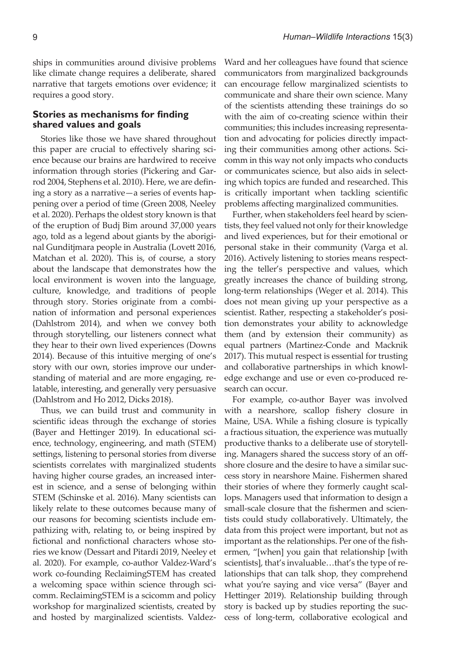ships in communities around divisive problems like climate change requires a deliberate, shared narrative that targets emotions over evidence; it requires a good story.

## **Stories as mechanisms for finding shared values and goals**

Stories like those we have shared throughout this paper are crucial to effectively sharing science because our brains are hardwired to receive information through stories (Pickering and Garrod 2004, Stephens et al. 2010). Here, we are defining a story as a narrative—a series of events happening over a period of time (Green 2008, Neeley et al. 2020). Perhaps the oldest story known is that of the eruption of Budj Bim around 37,000 years ago, told as a legend about giants by the aboriginal Gunditjmara people in Australia (Lovett 2016, Matchan et al. 2020). This is, of course, a story about the landscape that demonstrates how the local environment is woven into the language, culture, knowledge, and traditions of people through story. Stories originate from a combination of information and personal experiences (Dahlstrom 2014), and when we convey both through storytelling, our listeners connect what they hear to their own lived experiences (Downs 2014). Because of this intuitive merging of one's story with our own, stories improve our understanding of material and are more engaging, relatable, interesting, and generally very persuasive (Dahlstrom and Ho 2012, Dicks 2018).

Thus, we can build trust and community in scientific ideas through the exchange of stories (Bayer and Hettinger 2019). In educational science, technology, engineering, and math (STEM) settings, listening to personal stories from diverse scientists correlates with marginalized students having higher course grades, an increased interest in science, and a sense of belonging within STEM (Schinske et al. 2016). Many scientists can likely relate to these outcomes because many of our reasons for becoming scientists include empathizing with, relating to, or being inspired by fictional and nonfictional characters whose stories we know (Dessart and Pitardi 2019, Neeley et al. 2020). For example, co-author Valdez-Ward's work co-founding ReclaimingSTEM has created a welcoming space within science through scicomm. ReclaimingSTEM is a scicomm and policy workshop for marginalized scientists, created by and hosted by marginalized scientists. ValdezWard and her colleagues have found that science communicators from marginalized backgrounds can encourage fellow marginalized scientists to communicate and share their own science. Many of the scientists attending these trainings do so with the aim of co-creating science within their communities; this includes increasing representation and advocating for policies directly impacting their communities among other actions. Scicomm in this way not only impacts who conducts or communicates science, but also aids in selecting which topics are funded and researched. This is critically important when tackling scientific problems affecting marginalized communities.

Further, when stakeholders feel heard by scientists, they feel valued not only for their knowledge and lived experiences, but for their emotional or personal stake in their community (Varga et al. 2016). Actively listening to stories means respecting the teller's perspective and values, which greatly increases the chance of building strong, long-term relationships (Weger et al. 2014). This does not mean giving up your perspective as a scientist. Rather, respecting a stakeholder's position demonstrates your ability to acknowledge them (and by extension their community) as equal partners (Martinez-Conde and Macknik 2017). This mutual respect is essential for trusting and collaborative partnerships in which knowledge exchange and use or even co-produced research can occur.

For example, co-author Bayer was involved with a nearshore, scallop fishery closure in Maine, USA. While a fishing closure is typically a fractious situation, the experience was mutually productive thanks to a deliberate use of storytelling. Managers shared the success story of an offshore closure and the desire to have a similar success story in nearshore Maine. Fishermen shared their stories of where they formerly caught scallops. Managers used that information to design a small-scale closure that the fishermen and scientists could study collaboratively. Ultimately, the data from this project were important, but not as important as the relationships. Per one of the fishermen, "[when] you gain that relationship [with scientists], that's invaluable…that's the type of relationships that can talk shop, they comprehend what you're saying and vice versa" (Bayer and Hettinger 2019). Relationship building through story is backed up by studies reporting the success of long-term, collaborative ecological and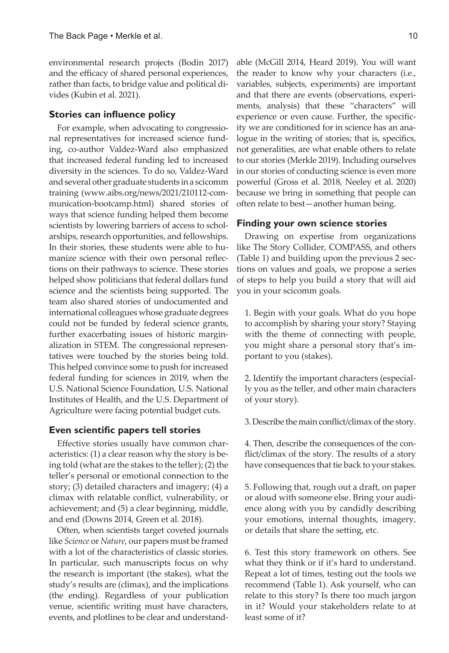environmental research projects (Bodin 2017) and the efficacy of shared personal experiences, rather than facts, to bridge value and political divides (Kubin et al. 2021).

#### **Stories can influence policy**

For example, when advocating to congressional representatives for increased science funding, co-author Valdez-Ward also emphasized that increased federal funding led to increased diversity in the sciences. To do so, Valdez-Ward and several other graduate students in a scicomm training (www.aibs.org/news/2021/210112-communication-bootcamp.html) shared stories of ways that science funding helped them become scientists by lowering barriers of access to scholarships, research opportunities, and fellowships. In their stories, these students were able to humanize science with their own personal reflections on their pathways to science. These stories helped show politicians that federal dollars fund science and the scientists being supported. The team also shared stories of undocumented and international colleagues whose graduate degrees could not be funded by federal science grants, further exacerbating issues of historic marginalization in STEM. The congressional representatives were touched by the stories being told. This helped convince some to push for increased federal funding for sciences in 2019, when the U.S. National Science Foundation, U.S. National Institutes of Health, and the U.S. Department of Agriculture were facing potential budget cuts.

# **Even scientific papers tell stories**

Effective stories usually have common characteristics: (1) a clear reason why the story is being told (what are the stakes to the teller); (2) the teller's personal or emotional connection to the story; (3) detailed characters and imagery; (4) a climax with relatable conflict, vulnerability, or achievement; and (5) a clear beginning, middle, and end (Downs 2014, Green et al. 2018).

Often, when scientists target coveted journals like *Science* or *Nature*, our papers must be framed with a lot of the characteristics of classic stories. In particular, such manuscripts focus on why the research is important (the stakes), what the study's results are (climax), and the implications (the ending). Regardless of your publication venue, scientific writing must have characters, events, and plotlines to be clear and understandable (McGill 2014, Heard 2019). You will want the reader to know why your characters (i.e., variables, subjects, experiments) are important and that there are events (observations, experiments, analysis) that these "characters" will experience or even cause. Further, the specificity we are conditioned for in science has an analogue in the writing of stories; that is, specifics, not generalities, are what enable others to relate to our stories (Merkle 2019). Including ourselves in our stories of conducting science is even more powerful (Gross et al. 2018, Neeley et al. 2020) because we bring in something that people can often relate to best—another human being.

#### **Finding your own science stories**

Drawing on expertise from organizations like The Story Collider, COMPASS, and others (Table 1) and building upon the previous 2 sections on values and goals, we propose a series of steps to help you build a story that will aid you in your scicomm goals.

1. Begin with your goals. What do you hope to accomplish by sharing your story? Staying with the theme of connecting with people, you might share a personal story that's important to you (stakes).

2. Identify the important characters (especially you as the teller, and other main characters of your story).

3. Describe the main conflict/climax of the story.

4. Then, describe the consequences of the conflict/climax of the story. The results of a story have consequences that tie back to your stakes.

5. Following that, rough out a draft, on paper or aloud with someone else. Bring your audience along with you by candidly describing your emotions, internal thoughts, imagery, or details that share the setting, etc.

6. Test this story framework on others. See what they think or if it's hard to understand. Repeat a lot of times, testing out the tools we recommend (Table 1). Ask yourself, who can relate to this story? Is there too much jargon in it? Would your stakeholders relate to at least some of it?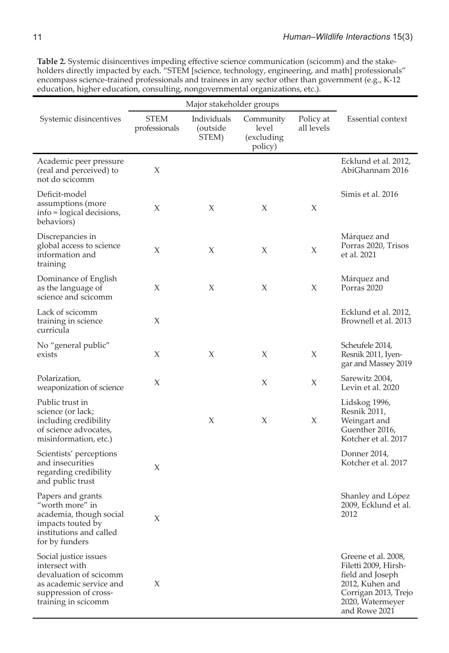**Table 2.** Systemic disincentives impeding effective science communication (scicomm) and the stakeholders directly impacted by each. "STEM [science, technology, engineering, and math] professionals" encompass science-trained professionals and trainees in any sector other than government (e.g., K-12 education, higher education, consulting, nongovernmental organizations, etc.).

|                                                                                                                                              | Major stakeholder groups     |                                  |                                              |                         |                                                                                                                                                 |
|----------------------------------------------------------------------------------------------------------------------------------------------|------------------------------|----------------------------------|----------------------------------------------|-------------------------|-------------------------------------------------------------------------------------------------------------------------------------------------|
| Systemic disincentives                                                                                                                       | <b>STEM</b><br>professionals | Individuals<br>outside)<br>STEM) | Community<br>level<br>(excluding)<br>policy) | Policy at<br>all levels | Essential context                                                                                                                               |
| Academic peer pressure<br>(real and perceived) to<br>not do scicomm                                                                          | X                            |                                  |                                              |                         | Ecklund et al. 2012,<br>AbiGhannam 2016                                                                                                         |
| Deficit-model<br>assumptions (more<br>info = logical decisions,<br>behaviors)                                                                | X                            | Х                                | X                                            | X                       | Simis et al. 2016                                                                                                                               |
| Discrepancies in<br>global access to science<br>information and<br>training                                                                  | Х                            | Х                                | X                                            | Х                       | Márquez and<br>Porras 2020, Trisos<br>et al. 2021                                                                                               |
| Dominance of English<br>as the language of<br>science and scicomm                                                                            | Х                            | X                                | X                                            | Х                       | Márquez and<br>Porras 2020                                                                                                                      |
| Lack of scicomm<br>training in science<br>curricula                                                                                          | Х                            |                                  |                                              |                         | Ecklund et al. 2012,<br>Brownell et al. 2013                                                                                                    |
| No "general public"<br>exists                                                                                                                | Х                            | X                                | X                                            | Х                       | Scheufele 2014,<br>Resnik 2011, Iyen-<br>gar and Massey 2019                                                                                    |
| Polarization,<br>weaponization of science                                                                                                    | Х                            |                                  | X                                            | Х                       | Sarewitz 2004,<br>Levin et al. 2020                                                                                                             |
| Public trust in<br>science (or lack;<br>including credibility<br>of science advocates,<br>misinformation, etc.)                              |                              | Х                                | X                                            | X                       | Lidskog 1996,<br>Resnik 2011,<br>Weingart and<br>Guenther 2016,<br>Kotcher et al. 2017                                                          |
| Scientists' perceptions<br>and insecurities<br>regarding credibility<br>and public trust                                                     | X                            |                                  |                                              |                         | Donner 2014,<br>Kotcher et al. 2017                                                                                                             |
| Papers and grants<br>"worth more" in<br>academia, though social<br>impacts touted by<br>institutions and called<br>for by funders            | X                            |                                  |                                              |                         | Shanley and López<br>2009, Ecklund et al.<br>2012                                                                                               |
| Social justice issues<br>intersect with<br>devaluation of scicomm<br>as academic service and<br>suppression of cross-<br>training in scicomm | X                            |                                  |                                              |                         | Greene et al. 2008,<br>Filetti 2009, Hirsh-<br>field and Joseph<br>2012, Kuhen and<br>Corrigan 2013, Trejo<br>2020, Watermeyer<br>and Rowe 2021 |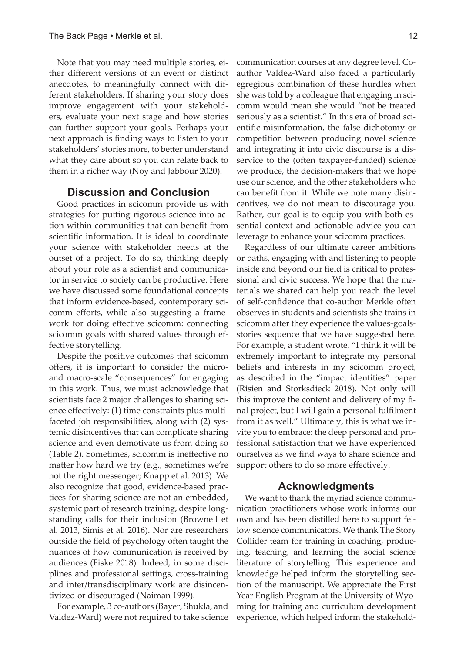Note that you may need multiple stories, either different versions of an event or distinct anecdotes, to meaningfully connect with different stakeholders. If sharing your story does improve engagement with your stakeholders, evaluate your next stage and how stories can further support your goals. Perhaps your next approach is finding ways to listen to your stakeholders' stories more, to better understand what they care about so you can relate back to them in a richer way (Noy and Jabbour 2020).

# **Discussion and Conclusion**

Good practices in scicomm provide us with strategies for putting rigorous science into action within communities that can benefit from scientific information. It is ideal to coordinate your science with stakeholder needs at the outset of a project. To do so, thinking deeply about your role as a scientist and communicator in service to society can be productive. Here we have discussed some foundational concepts that inform evidence-based, contemporary scicomm efforts, while also suggesting a framework for doing effective scicomm: connecting scicomm goals with shared values through effective storytelling.

Despite the positive outcomes that scicomm offers, it is important to consider the microand macro-scale "consequences" for engaging in this work. Thus, we must acknowledge that scientists face 2 major challenges to sharing science effectively: (1) time constraints plus multifaceted job responsibilities, along with (2) systemic disincentives that can complicate sharing science and even demotivate us from doing so (Table 2). Sometimes, scicomm is ineffective no matter how hard we try (e.g., sometimes we're not the right messenger; Knapp et al. 2013). We also recognize that good, evidence-based practices for sharing science are not an embedded, systemic part of research training, despite longstanding calls for their inclusion (Brownell et al. 2013, Simis et al. 2016). Nor are researchers outside the field of psychology often taught the nuances of how communication is received by audiences (Fiske 2018). Indeed, in some disciplines and professional settings, cross-training and inter/transdisciplinary work are disincentivized or discouraged (Naiman 1999).

For example, 3 co-authors (Bayer, Shukla, and Valdez-Ward) were not required to take science communication courses at any degree level. Coauthor Valdez-Ward also faced a particularly egregious combination of these hurdles when she was told by a colleague that engaging in scicomm would mean she would "not be treated seriously as a scientist." In this era of broad scientific misinformation, the false dichotomy or competition between producing novel science and integrating it into civic discourse is a disservice to the (often taxpayer-funded) science we produce, the decision-makers that we hope use our science, and the other stakeholders who can benefit from it. While we note many disincentives, we do not mean to discourage you. Rather, our goal is to equip you with both essential context and actionable advice you can leverage to enhance your scicomm practices.

Regardless of our ultimate career ambitions or paths, engaging with and listening to people inside and beyond our field is critical to professional and civic success. We hope that the materials we shared can help you reach the level of self-confidence that co-author Merkle often observes in students and scientists she trains in scicomm after they experience the values-goalsstories sequence that we have suggested here. For example, a student wrote, "I think it will be extremely important to integrate my personal beliefs and interests in my scicomm project, as described in the "impact identities" paper (Risien and Storksdieck 2018). Not only will this improve the content and delivery of my final project, but I will gain a personal fulfilment from it as well." Ultimately, this is what we invite you to embrace: the deep personal and professional satisfaction that we have experienced ourselves as we find ways to share science and support others to do so more effectively.

# **Acknowledgments**

We want to thank the myriad science communication practitioners whose work informs our own and has been distilled here to support fellow science communicators. We thank The Story Collider team for training in coaching, producing, teaching, and learning the social science literature of storytelling. This experience and knowledge helped inform the storytelling section of the manuscript. We appreciate the First Year English Program at the University of Wyoming for training and curriculum development experience, which helped inform the stakehold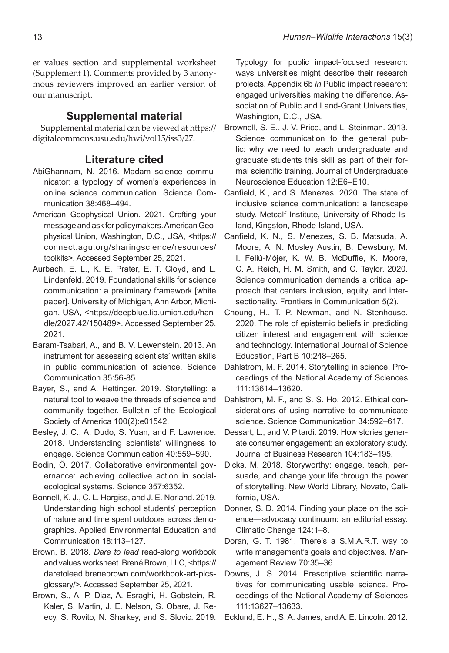er values section and supplemental worksheet (Supplement 1). Comments provided by 3 anonymous reviewers improved an earlier version of our manuscript.

# **Supplemental material**

Supplemental material can be viewed at https:// digitalcommons.usu.edu/hwi/vol15/iss3/27.

# **Literature cited**

- AbiGhannam, N. 2016. Madam science communicator: a typology of women's experiences in online science communication. Science Communication 38:468–494.
- American Geophysical Union. 2021. Crafting your message and ask for policymakers. American Geophysical Union, Washington, D.C., USA, <https:// connect.agu.org/sharingscience/resources/ toolkits>. Accessed September 25, 2021.
- Aurbach, E. L., K. E. Prater, E. T. Cloyd, and L. Lindenfeld. 2019. Foundational skills for science communication: a preliminary framework [white paper]. University of Michigan, Ann Arbor, Michigan, USA, <https://deepblue.lib.umich.edu/handle/2027.42/150489>. Accessed September 25, 2021.
- Baram-Tsabari, A., and B. V. Lewenstein. 2013. An instrument for assessing scientists' written skills in public communication of science. Science Communication 35:56-85.
- Bayer, S., and A. Hettinger. 2019. Storytelling: a natural tool to weave the threads of science and community together. Bulletin of the Ecological Society of America 100(2):e01542.
- Besley, J. C., A. Dudo, S. Yuan, and F. Lawrence. 2018. Understanding scientists' willingness to engage. Science Communication 40:559–590.
- Bodin, Ö. 2017. Collaborative environmental governance: achieving collective action in socialecological systems. Science 357:6352.
- Bonnell, K. J., C. L. Hargiss, and J. E. Norland. 2019. Understanding high school students' perception of nature and time spent outdoors across demographics. Applied Environmental Education and Communication 18:113–127.
- Brown, B. 2018. *Dare to lead* read-along workbook and values worksheet. Brené Brown, LLC, <https:// daretolead.brenebrown.com/workbook-art-picsglossary/>. Accessed September 25, 2021.
- Brown, S., A. P. Diaz, A. Esraghi, H. Gobstein, R. Kaler, S. Martin, J. E. Nelson, S. Obare, J. Reecy, S. Rovito, N. Sharkey, and S. Slovic. 2019.

Typology for public impact-focused research: ways universities might describe their research projects. Appendix 6b *in* Public impact research: engaged universities making the difference. Association of Public and Land-Grant Universities, Washington, D.C., USA.

- Brownell, S. E., J. V. Price, and L. Steinman. 2013. Science communication to the general public: why we need to teach undergraduate and graduate students this skill as part of their formal scientific training. Journal of Undergraduate Neuroscience Education 12:E6–E10.
- Canfield, K., and S. Menezes. 2020. The state of inclusive science communication: a landscape study. Metcalf Institute, University of Rhode Island, Kingston, Rhode Island, USA.
- Canfield, K. N., S. Menezes, S. B. Matsuda, A. Moore, A. N. Mosley Austin, B. Dewsbury, M. I. Feliú-Mójer, K. W. B. McDuffie, K. Moore, C. A. Reich, H. M. Smith, and C. Taylor. 2020. Science communication demands a critical approach that centers inclusion, equity, and intersectionality. Frontiers in Communication 5(2).
- Choung, H., T. P. Newman, and N. Stenhouse. 2020. The role of epistemic beliefs in predicting citizen interest and engagement with science and technology. International Journal of Science Education, Part B 10:248–265.
- Dahlstrom, M. F. 2014. Storytelling in science. Proceedings of the National Academy of Sciences 111:13614–13620.
- Dahlstrom, M. F., and S. S. Ho. 2012. Ethical considerations of using narrative to communicate science. Science Communication 34:592–617.
- Dessart, L., and V. Pitardi. 2019. How stories generate consumer engagement: an exploratory study. Journal of Business Research 104:183–195.
- Dicks, M. 2018. Storyworthy: engage, teach, persuade, and change your life through the power of storytelling. New World Library, Novato, California, USA.
- Donner, S. D. 2014. Finding your place on the science—advocacy continuum: an editorial essay. Climatic Change 124:1–8.
- Doran, G. T. 1981. There's a S.M.A.R.T. way to write management's goals and objectives. Management Review 70:35–36.
- Downs, J. S. 2014. Prescriptive scientific narratives for communicating usable science. Proceedings of the National Academy of Sciences 111:13627–13633.
- Ecklund, E. H., S. A. James, and A. E. Lincoln. 2012.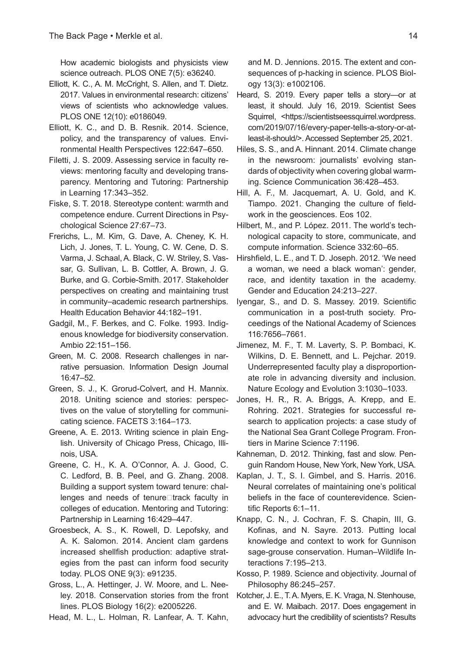How academic biologists and physicists view science outreach. PLOS ONE 7(5): e36240.

- Elliott, K. C., A. M. McCright, S. Allen, and T. Dietz. 2017. Values in environmental research: citizens' views of scientists who acknowledge values. PLOS ONE 12(10): e0186049.
- Elliott, K. C., and D. B. Resnik. 2014. Science, policy, and the transparency of values. Environmental Health Perspectives 122:647–650.
- Filetti, J. S. 2009. Assessing service in faculty reviews: mentoring faculty and developing transparency. Mentoring and Tutoring: Partnership in Learning 17:343–352.
- Fiske, S. T. 2018. Stereotype content: warmth and competence endure. Current Directions in Psychological Science 27:67–73.
- Frerichs, L., M. Kim, G. Dave, A. Cheney, K. H. Lich, J. Jones, T. L. Young, C. W. Cene, D. S. Varma, J. Schaal, A. Black, C. W. Striley, S. Vassar, G. Sullivan, L. B. Cottler, A. Brown, J. G. Burke, and G. Corbie-Smith. 2017. Stakeholder perspectives on creating and maintaining trust in community–academic research partnerships. Health Education Behavior 44:182–191.
- Gadgil, M., F. Berkes, and C. Folke. 1993. Indigenous knowledge for biodiversity conservation. Ambio 22:151–156.
- Green, M. C. 2008. Research challenges in narrative persuasion. Information Design Journal 16:47–52.
- Green, S. J., K. Grorud-Colvert, and H. Mannix. 2018. Uniting science and stories: perspectives on the value of storytelling for communicating science. FACETS 3:164–173.
- Greene, A. E. 2013. Writing science in plain English. University of Chicago Press, Chicago, Illinois, USA.
- Greene, C. H., K. A. O'Connor, A. J. Good, C. C. Ledford, B. B. Peel, and G. Zhang. 2008. Building a support system toward tenure: challenges and needs of tenure $\Box$ track faculty in colleges of education. Mentoring and Tutoring: Partnership in Learning 16:429–447.
- Groesbeck, A. S., K. Rowell, D. Lepofsky, and A. K. Salomon. 2014. Ancient clam gardens increased shellfish production: adaptive strategies from the past can inform food security today. PLOS ONE 9(3): e91235.
- Gross, L., A. Hettinger, J. W. Moore, and L. Neeley. 2018. Conservation stories from the front lines. PLOS Biology 16(2): e2005226.
- Head, M. L., L. Holman, R. Lanfear, A. T. Kahn,

and M. D. Jennions. 2015. The extent and consequences of p-hacking in science. PLOS Biology 13(3): e1002106.

- Heard, S. 2019. Every paper tells a story—or at least, it should. July 16, 2019. Scientist Sees Squirrel, <https://scientistseessquirrel.wordpress. com/2019/07/16/every-paper-tells-a-story-or-atleast-it-should/>. Accessed September 25, 2021.
- Hiles, S. S., and A. Hinnant. 2014. Climate change in the newsroom: journalists' evolving standards of objectivity when covering global warming. Science Communication 36:428–453.
- Hill, A. F., M. Jacquemart, A. U. Gold, and K. Tiampo. 2021. Changing the culture of fieldwork in the geosciences. Eos 102.
- Hilbert, M., and P. López. 2011. The world's technological capacity to store, communicate, and compute information. Science 332:60–65.
- Hirshfield, L. E., and T. D. Joseph. 2012. 'We need a woman, we need a black woman': gender, race, and identity taxation in the academy. Gender and Education 24:213–227.
- Iyengar, S., and D. S. Massey. 2019. Scientific communication in a post-truth society. Proceedings of the National Academy of Sciences 116:7656–7661.
- Jimenez, M. F., T. M. Laverty, S. P. Bombaci, K. Wilkins, D. E. Bennett, and L. Pejchar. 2019. Underrepresented faculty play a disproportionate role in advancing diversity and inclusion. Nature Ecology and Evolution 3:1030–1033.
- Jones, H. R., R. A. Briggs, A. Krepp, and E. Rohring. 2021. Strategies for successful research to application projects: a case study of the National Sea Grant College Program. Frontiers in Marine Science 7:1196.
- Kahneman, D. 2012. Thinking, fast and slow. Penguin Random House, New York, New York, USA.
- Kaplan, J. T., S. I. Gimbel, and S. Harris. 2016. Neural correlates of maintaining one's political beliefs in the face of counterevidence. Scientific Reports 6:1–11.
- Knapp, C. N., J. Cochran, F. S. Chapin, III, G. Kofinas, and N. Sayre. 2013. Putting local knowledge and context to work for Gunnison sage-grouse conservation. Human–Wildlife Interactions 7:195–213.
- Kosso, P. 1989. Science and objectivity. Journal of Philosophy 86:245–257.
- Kotcher, J. E., T. A. Myers, E. K. Vraga, N. Stenhouse, and E. W. Maibach. 2017. Does engagement in advocacy hurt the credibility of scientists? Results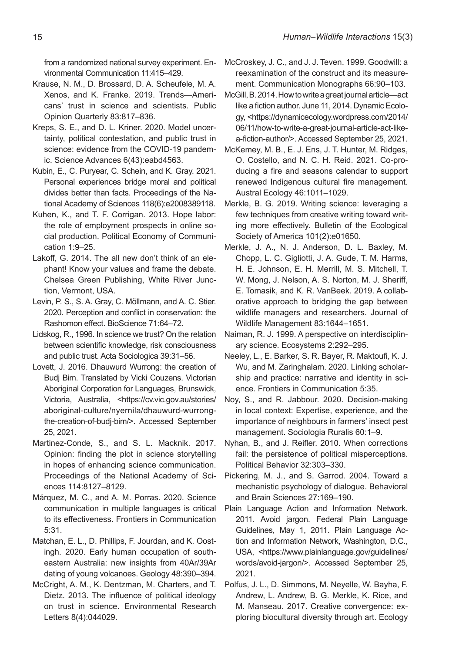from a randomized national survey experiment. Environmental Communication 11:415–429.

- Krause, N. M., D. Brossard, D. A. Scheufele, M. A. Xenos, and K. Franke. 2019. Trends—Americans' trust in science and scientists. Public Opinion Quarterly 83:817–836.
- Kreps, S. E., and D. L. Kriner. 2020. Model uncertainty, political contestation, and public trust in science: evidence from the COVID-19 pandemic. Science Advances 6(43):eabd4563.
- Kubin, E., C. Puryear, C. Schein, and K. Gray. 2021. Personal experiences bridge moral and political divides better than facts. Proceedings of the National Academy of Sciences 118(6):e2008389118.
- Kuhen, K., and T. F. Corrigan. 2013. Hope labor: the role of employment prospects in online social production. Political Economy of Communication 1:9–25.
- Lakoff, G. 2014. The all new don't think of an elephant! Know your values and frame the debate. Chelsea Green Publishing, White River Junction, Vermont, USA.
- Levin, P. S., S. A. Gray, C. Möllmann, and A. C. Stier. 2020. Perception and conflict in conservation: the Rashomon effect. BioScience 71:64–72.
- Lidskog, R., 1996. In science we trust? On the relation between scientific knowledge, risk consciousness and public trust. Acta Sociologica 39:31–56.
- Lovett, J. 2016. Dhauwurd Wurrong: the creation of Budj Bim. Translated by Vicki Couzens. Victorian Aboriginal Corporation for Languages, Brunswick, Victoria, Australia, <https://cv.vic.gov.au/stories/ aboriginal-culture/nyernila/dhauwurd-wurrongthe-creation-of-budj-bim/>. Accessed September 25, 2021.
- Martinez-Conde, S., and S. L. Macknik. 2017. Opinion: finding the plot in science storytelling in hopes of enhancing science communication. Proceedings of the National Academy of Sciences 114:8127–8129.
- Márquez, M. C., and A. M. Porras. 2020. Science communication in multiple languages is critical to its effectiveness. Frontiers in Communication 5:31.
- Matchan, E. L., D. Phillips, F. Jourdan, and K. Oostingh. 2020. Early human occupation of southeastern Australia: new insights from 40Ar/39Ar dating of young volcanoes. Geology 48:390–394.
- McCright, A. M., K. Dentzman, M. Charters, and T. Dietz. 2013. The influence of political ideology on trust in science. Environmental Research Letters 8(4):044029.
- McCroskey, J. C., and J. J. Teven. 1999. Goodwill: a reexamination of the construct and its measurement. Communication Monographs 66:90–103.
- McGill, B. 2014. How to write a great journal article—act like a fiction author. June 11, 2014. Dynamic Ecology, <https://dynamicecology.wordpress.com/2014/ 06/11/how-to-write-a-great-journal-article-act-likea-fiction-author/>. Accessed September 25, 2021.
- McKemey, M. B., E. J. Ens, J. T. Hunter, M. Ridges, O. Costello, and N. C. H. Reid. 2021. Co-producing a fire and seasons calendar to support renewed Indigenous cultural fire management. Austral Ecology 46:1011–1029.
- Merkle, B. G. 2019. Writing science: leveraging a few techniques from creative writing toward writing more effectively. Bulletin of the Ecological Society of America 101(2):e01650.
- Merkle, J. A., N. J. Anderson, D. L. Baxley, M. Chopp, L. C. Gigliotti, J. A. Gude, T. M. Harms, H. E. Johnson, E. H. Merrill, M. S. Mitchell, T. W. Mong, J. Nelson, A. S. Norton, M. J. Sheriff, E. Tomasik, and K. R. VanBeek. 2019. A collaborative approach to bridging the gap between wildlife managers and researchers. Journal of Wildlife Management 83:1644–1651.
- Naiman, R. J. 1999. A perspective on interdisciplinary science. Ecosystems 2:292–295.
- Neeley, L., E. Barker, S. R. Bayer, R. Maktoufi, K. J. Wu, and M. Zaringhalam. 2020. Linking scholarship and practice: narrative and identity in science. Frontiers in Communication 5:35.
- Noy, S., and R. Jabbour. 2020. Decision-making in local context: Expertise, experience, and the importance of neighbours in farmers' insect pest management. Sociologia Ruralis 60:1–9.
- Nyhan, B., and J. Reifler. 2010. When corrections fail: the persistence of political misperceptions. Political Behavior 32:303–330.
- Pickering, M. J., and S. Garrod. 2004. Toward a mechanistic psychology of dialogue. Behavioral and Brain Sciences 27:169–190.
- Plain Language Action and Information Network. 2011. Avoid jargon. Federal Plain Language Guidelines, May 1, 2011. Plain Language Action and Information Network, Washington, D.C., USA, <https://www.plainlanguage.gov/guidelines/ words/avoid-jargon/>. Accessed September 25, 2021.
- Polfus, J. L., D. Simmons, M. Neyelle, W. Bayha, F. Andrew, L. Andrew, B. G. Merkle, K. Rice, and M. Manseau. 2017. Creative convergence: exploring biocultural diversity through art. Ecology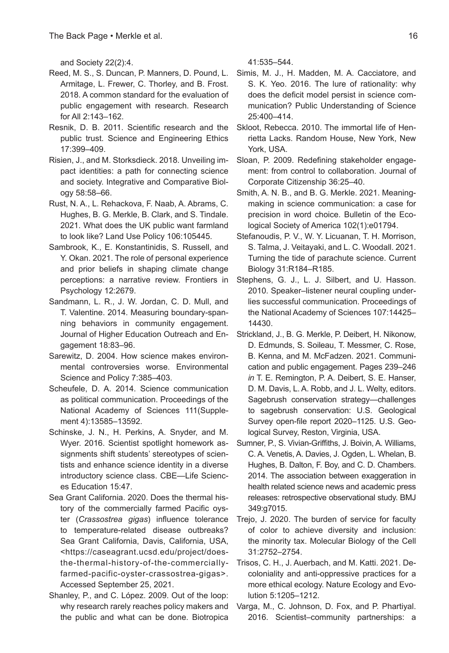and Society 22(2):4.

- Reed, M. S., S. Duncan, P. Manners, D. Pound, L. Armitage, L. Frewer, C. Thorley, and B. Frost. 2018. A common standard for the evaluation of public engagement with research. Research for All 2:143–162.
- Resnik, D. B. 2011. Scientific research and the public trust. Science and Engineering Ethics 17:399–409.
- Risien, J., and M. Storksdieck. 2018. Unveiling impact identities: a path for connecting science and society. Integrative and Comparative Biology 58:58–66.
- Rust, N. A., L. Rehackova, F. Naab, A. Abrams, C. Hughes, B. G. Merkle, B. Clark, and S. Tindale. 2021. What does the UK public want farmland to look like? Land Use Policy 106:105445.
- Sambrook, K., E. Konstantinidis, S. Russell, and Y. Okan. 2021. The role of personal experience and prior beliefs in shaping climate change perceptions: a narrative review. Frontiers in Psychology 12:2679.
- Sandmann, L. R., J. W. Jordan, C. D. Mull, and T. Valentine. 2014. Measuring boundary-spanning behaviors in community engagement. Journal of Higher Education Outreach and Engagement 18:83–96.
- Sarewitz, D. 2004. How science makes environmental controversies worse. Environmental Science and Policy 7:385–403.
- Scheufele, D. A. 2014. Science communication as political communication. Proceedings of the National Academy of Sciences 111(Supplement 4):13585–13592.
- Schinske, J. N., H. Perkins, A. Snyder, and M. Wyer. 2016. Scientist spotlight homework assignments shift students' stereotypes of scientists and enhance science identity in a diverse introductory science class. CBE—Life Sciences Education 15:47.
- Sea Grant California. 2020. Does the thermal history of the commercially farmed Pacific oyster (*Crassostrea gigas*) influence tolerance to temperature-related disease outbreaks? Sea Grant California, Davis, California, USA, <https://caseagrant.ucsd.edu/project/doesthe-thermal-history-of-the-commerciallyfarmed-pacific-oyster-crassostrea-gigas>. Accessed September 25, 2021.
- Shanley, P., and C. López. 2009. Out of the loop: why research rarely reaches policy makers and the public and what can be done. Biotropica

41:535–544.

- Simis, M. J., H. Madden, M. A. Cacciatore, and S. K. Yeo. 2016. The lure of rationality: why does the deficit model persist in science communication? Public Understanding of Science 25:400–414.
- Skloot, Rebecca. 2010. The immortal life of Henrietta Lacks. Random House, New York, New York, USA.
- Sloan, P. 2009. Redefining stakeholder engagement: from control to collaboration. Journal of Corporate Citizenship 36:25–40.
- Smith, A. N. B., and B. G. Merkle. 2021. Meaningmaking in science communication: a case for precision in word choice. Bulletin of the Ecological Society of America 102(1):e01794.
- Stefanoudis, P. V., W. Y. Licuanan, T. H. Morrison, S. Talma, J. Veitayaki, and L. C. Woodall. 2021. Turning the tide of parachute science. Current Biology 31:R184–R185.
- Stephens, G. J., L. J. Silbert, and U. Hasson. 2010. Speaker–listener neural coupling underlies successful communication. Proceedings of the National Academy of Sciences 107:14425– 14430.
- Strickland, J., B. G. Merkle, P. Deibert, H. Nikonow, D. Edmunds, S. Soileau, T. Messmer, C. Rose, B. Kenna, and M. McFadzen. 2021. Communication and public engagement. Pages 239–246 *in* T. E. Remington, P. A. Deibert, S. E. Hanser, D. M. Davis, L. A. Robb, and J. L. Welty, editors. Sagebrush conservation strategy—challenges to sagebrush conservation: U.S. Geological Survey open-file report 2020–1125. U.S. Geological Survey, Reston, Virginia, USA.
- Sumner, P., S. Vivian-Griffiths, J. Boivin, A. Williams, C. A. Venetis, A. Davies, J. Ogden, L. Whelan, B. Hughes, B. Dalton, F. Boy, and C. D. Chambers. 2014. The association between exaggeration in health related science news and academic press releases: retrospective observational study. BMJ 349:g7015.
- Trejo, J. 2020. The burden of service for faculty of color to achieve diversity and inclusion: the minority tax. Molecular Biology of the Cell 31:2752–2754.
- Trisos, C. H., J. Auerbach, and M. Katti. 2021. Decoloniality and anti-oppressive practices for a more ethical ecology. Nature Ecology and Evolution 5:1205–1212.
- Varga, M., C. Johnson, D. Fox, and P. Phartiyal. 2016. Scientist–community partnerships: a